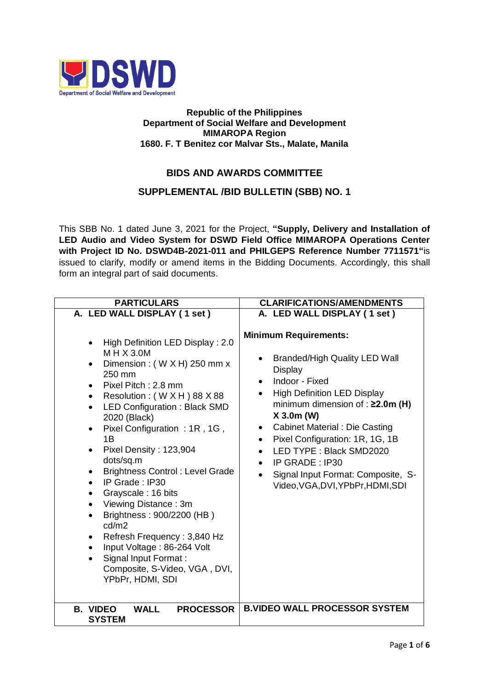

## **Republic of the Philippines Department of Social Welfare and Development MIMAROPA Region 1680. F. T Benitez cor Malvar Sts., Malate, Manila**

## **BIDS AND AWARDS COMMITTEE**

## **SUPPLEMENTAL /BID BULLETIN (SBB) NO. 1**

This SBB No. 1 dated June 3, 2021 for the Project, **"Supply, Delivery and Installation of LED Audio and Video System for DSWD Field Office MIMAROPA Operations Center with Project ID No. DSWD4B-2021-011 and PHILGEPS Reference Number 7711571"**is issued to clarify, modify or amend items in the Bidding Documents. Accordingly, this shall form an integral part of said documents.

| <b>PARTICULARS</b>                                                                                                                                                                                                                                                                                                                                                                                                                                                                                                                                                                                                                                                                                                                                         | <b>CLARIFICATIONS/AMENDMENTS</b>                                                                                                                                                                                                                                                                                                                                                                                                    |
|------------------------------------------------------------------------------------------------------------------------------------------------------------------------------------------------------------------------------------------------------------------------------------------------------------------------------------------------------------------------------------------------------------------------------------------------------------------------------------------------------------------------------------------------------------------------------------------------------------------------------------------------------------------------------------------------------------------------------------------------------------|-------------------------------------------------------------------------------------------------------------------------------------------------------------------------------------------------------------------------------------------------------------------------------------------------------------------------------------------------------------------------------------------------------------------------------------|
| A. LED WALL DISPLAY (1 set)                                                                                                                                                                                                                                                                                                                                                                                                                                                                                                                                                                                                                                                                                                                                | A. LED WALL DISPLAY (1 set)                                                                                                                                                                                                                                                                                                                                                                                                         |
| High Definition LED Display : 2.0<br>$\bullet$<br>$M$ H $X$ 3.0M<br>Dimension: (WXH) 250 mm x<br>$\bullet$<br>250 mm<br>Pixel Pitch: 2.8 mm<br>$\bullet$<br>Resolution: (WXH) 88 X 88<br>$\bullet$<br><b>LED Configuration: Black SMD</b><br>$\bullet$<br>2020 (Black)<br>Pixel Configuration: 1R, 1G,<br>$\bullet$<br>1B<br>Pixel Density: 123,904<br>$\bullet$<br>dots/sq.m<br><b>Brightness Control: Level Grade</b><br>$\bullet$<br>IP Grade: IP30<br>$\bullet$<br>Grayscale: 16 bits<br>$\bullet$<br>Viewing Distance: 3m<br>$\bullet$<br>Brightness: 900/2200 (HB)<br>$\bullet$<br>cd/m2<br>Refresh Frequency: 3,840 Hz<br>٠<br>Input Voltage: 86-264 Volt<br>$\bullet$<br>Signal Input Format:<br>Composite, S-Video, VGA, DVI,<br>YPbPr, HDMI, SDI | <b>Minimum Requirements:</b><br><b>Branded/High Quality LED Wall</b><br><b>Display</b><br>Indoor - Fixed<br><b>High Definition LED Display</b><br>$\bullet$<br>minimum dimension of : ≥2.0m (H)<br>X 3.0m (W)<br><b>Cabinet Material : Die Casting</b><br>٠<br>Pixel Configuration: 1R, 1G, 1B<br>LED TYPE: Black SMD2020<br>$\bullet$<br>IP GRADE: IP30<br>Signal Input Format: Composite, S-<br>Video, VGA, DVI, YPbPr, HDMI, SDI |
| <b>B. VIDEO</b><br><b>WALL</b><br><b>PROCESSOR</b><br><b>SYSTEM</b>                                                                                                                                                                                                                                                                                                                                                                                                                                                                                                                                                                                                                                                                                        | <b>B.VIDEO WALL PROCESSOR SYSTEM</b>                                                                                                                                                                                                                                                                                                                                                                                                |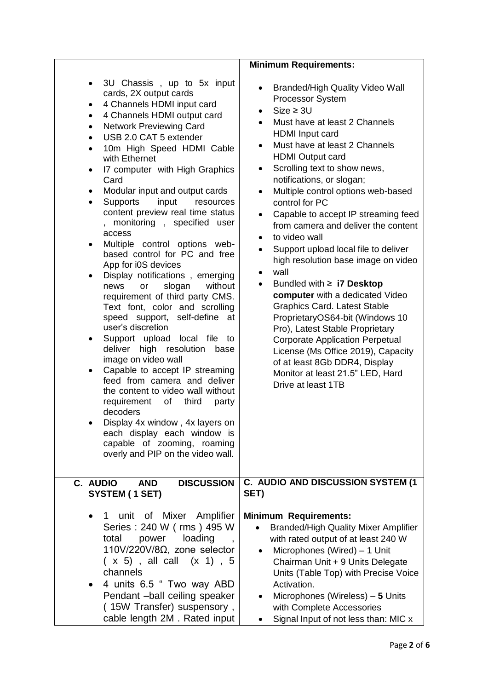|                                                                                                                                                                                                                                                                                                                                                                                                                                                                                                                                                                                                                                                                                                                                                                                                                                                                                                                                                                                                                                                                                                                                                                                                                                            | <b>Minimum Requirements:</b>                                                                                                                                                                                                                                                                                                                                                                                                                                                                                                                                                                                                                                                                                                                                                                                                                                                                                                                     |
|--------------------------------------------------------------------------------------------------------------------------------------------------------------------------------------------------------------------------------------------------------------------------------------------------------------------------------------------------------------------------------------------------------------------------------------------------------------------------------------------------------------------------------------------------------------------------------------------------------------------------------------------------------------------------------------------------------------------------------------------------------------------------------------------------------------------------------------------------------------------------------------------------------------------------------------------------------------------------------------------------------------------------------------------------------------------------------------------------------------------------------------------------------------------------------------------------------------------------------------------|--------------------------------------------------------------------------------------------------------------------------------------------------------------------------------------------------------------------------------------------------------------------------------------------------------------------------------------------------------------------------------------------------------------------------------------------------------------------------------------------------------------------------------------------------------------------------------------------------------------------------------------------------------------------------------------------------------------------------------------------------------------------------------------------------------------------------------------------------------------------------------------------------------------------------------------------------|
| 3U Chassis, up to 5x input<br>$\bullet$<br>cards, 2X output cards<br>4 Channels HDMI input card<br>4 Channels HDMI output card<br>٠<br><b>Network Previewing Card</b><br>٠<br>USB 2.0 CAT 5 extender<br>$\bullet$<br>10m High Speed HDMI Cable<br>$\bullet$<br>with Ethernet<br>17 computer with High Graphics<br>٠<br>Card<br>Modular input and output cards<br>$\bullet$<br><b>Supports</b><br>input<br>resources<br>$\bullet$<br>content preview real time status<br>monitoring, specified user<br>access<br>Multiple control options web-<br>٠<br>based control for PC and free<br>App for i0S devices<br>Display notifications, emerging<br>$\bullet$<br>slogan<br>without<br>news<br>or<br>requirement of third party CMS.<br>Text font, color and scrolling<br>speed support, self-define<br>at<br>user's discretion<br>Support upload local file<br>to<br>٠<br>deliver high resolution<br>base<br>image on video wall<br>Capable to accept IP streaming<br>$\bullet$<br>feed from camera and deliver<br>the content to video wall without<br>requirement<br>of<br>third<br>party<br>decoders<br>Display 4x window, 4x layers on<br>each display each window is<br>capable of zooming, roaming<br>overly and PIP on the video wall. | <b>Branded/High Quality Video Wall</b><br>$\bullet$<br>Processor System<br>$Size \geq 3U$<br>Must have at least 2 Channels<br><b>HDMI</b> Input card<br>Must have at least 2 Channels<br>٠<br><b>HDMI</b> Output card<br>Scrolling text to show news,<br>٠<br>notifications, or slogan;<br>Multiple control options web-based<br>control for PC<br>Capable to accept IP streaming feed<br>$\bullet$<br>from camera and deliver the content<br>to video wall<br>$\bullet$<br>Support upload local file to deliver<br>high resolution base image on video<br>wall<br>$\bullet$<br>Bundled with $\geq$ <b>i7 Desktop</b><br>computer with a dedicated Video<br><b>Graphics Card. Latest Stable</b><br>ProprietaryOS64-bit (Windows 10<br>Pro), Latest Stable Proprietary<br><b>Corporate Application Perpetual</b><br>License (Ms Office 2019), Capacity<br>of at least 8Gb DDR4, Display<br>Monitor at least 21.5" LED, Hard<br>Drive at least 1TB |
| C. AUDIO<br><b>DISCUSSION</b><br><b>AND</b>                                                                                                                                                                                                                                                                                                                                                                                                                                                                                                                                                                                                                                                                                                                                                                                                                                                                                                                                                                                                                                                                                                                                                                                                | C. AUDIO AND DISCUSSION SYSTEM (1                                                                                                                                                                                                                                                                                                                                                                                                                                                                                                                                                                                                                                                                                                                                                                                                                                                                                                                |
| SYSTEM (1 SET)                                                                                                                                                                                                                                                                                                                                                                                                                                                                                                                                                                                                                                                                                                                                                                                                                                                                                                                                                                                                                                                                                                                                                                                                                             | SET)                                                                                                                                                                                                                                                                                                                                                                                                                                                                                                                                                                                                                                                                                                                                                                                                                                                                                                                                             |
| unit of Mixer Amplifier<br>Series: 240 W (rms) 495 W<br>loading<br>total<br>power<br>$110V/220V/8\Omega$ , zone selector<br>$(x 5)$ , all call $(x 1)$ , 5<br>channels<br>4 units 6.5 " Two way ABD<br>Pendant -ball ceiling speaker<br>(15W Transfer) suspensory,<br>cable length 2M. Rated input                                                                                                                                                                                                                                                                                                                                                                                                                                                                                                                                                                                                                                                                                                                                                                                                                                                                                                                                         | <b>Minimum Requirements:</b><br><b>Branded/High Quality Mixer Amplifier</b><br>with rated output of at least 240 W<br>Microphones (Wired) – 1 Unit<br>Chairman Unit + 9 Units Delegate<br>Units (Table Top) with Precise Voice<br>Activation.<br>Microphones (Wireless) - 5 Units<br>with Complete Accessories<br>Signal Input of not less than: MIC x                                                                                                                                                                                                                                                                                                                                                                                                                                                                                                                                                                                           |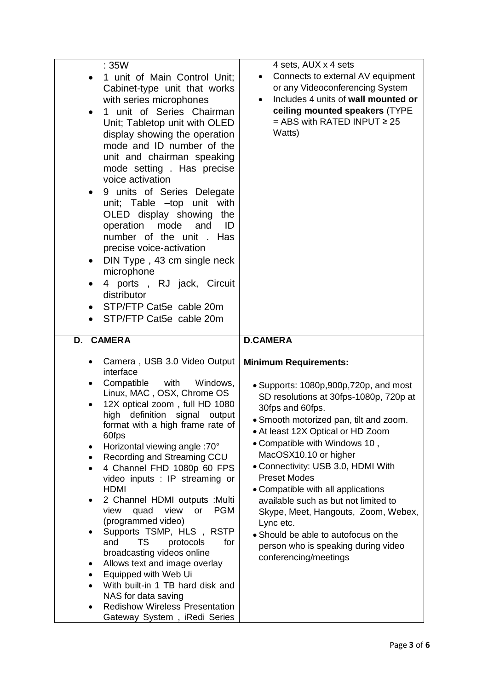| : 35W                                                                                                                                                                                                                                                                                                                                                                                                                                                                                                                                                                                                                                                                                                                                                                                                                                           | 4 sets, AUX x 4 sets                                                                                                                                                                                                                                                                                                                                                                                                                                                                                                                                                                |
|-------------------------------------------------------------------------------------------------------------------------------------------------------------------------------------------------------------------------------------------------------------------------------------------------------------------------------------------------------------------------------------------------------------------------------------------------------------------------------------------------------------------------------------------------------------------------------------------------------------------------------------------------------------------------------------------------------------------------------------------------------------------------------------------------------------------------------------------------|-------------------------------------------------------------------------------------------------------------------------------------------------------------------------------------------------------------------------------------------------------------------------------------------------------------------------------------------------------------------------------------------------------------------------------------------------------------------------------------------------------------------------------------------------------------------------------------|
| 1 unit of Main Control Unit;<br>Cabinet-type unit that works<br>with series microphones<br>1 unit of Series Chairman<br>Unit; Tabletop unit with OLED<br>display showing the operation<br>mode and ID number of the<br>unit and chairman speaking<br>mode setting. Has precise<br>voice activation<br>9 units of Series Delegate<br>$\bullet$<br>unit; Table -top unit with<br>OLED display showing<br>the<br>operation<br>mode<br>and<br>ID<br>number of the unit . Has<br>precise voice-activation<br>DIN Type, 43 cm single neck<br>$\bullet$<br>microphone<br>4 ports, RJ jack, Circuit<br>distributor<br>STP/FTP Cat5e cable 20m<br>$\bullet$<br>STP/FTP Cat5e cable 20m                                                                                                                                                                   | Connects to external AV equipment<br>$\bullet$<br>or any Videoconferencing System<br>Includes 4 units of wall mounted or<br>$\bullet$<br>ceiling mounted speakers (TYPE<br>$=$ ABS with RATED INPUT $\geq 25$<br>Watts)                                                                                                                                                                                                                                                                                                                                                             |
| D. CAMERA                                                                                                                                                                                                                                                                                                                                                                                                                                                                                                                                                                                                                                                                                                                                                                                                                                       | <b>D.CAMERA</b>                                                                                                                                                                                                                                                                                                                                                                                                                                                                                                                                                                     |
| Camera, USB 3.0 Video Output<br>interface<br>with<br>Compatible<br>Windows,<br>Linux, MAC, OSX, Chrome OS<br>12X optical zoom, full HD 1080<br>$\bullet$<br>high definition signal output<br>format with a high frame rate of<br>60fps<br>Horizontal viewing angle :70°<br>Recording and Streaming CCU<br>٠<br>4 Channel FHD 1080p 60 FPS<br>$\bullet$<br>video inputs : IP streaming or<br><b>HDMI</b><br>2 Channel HDMI outputs : Multi<br>$\bullet$<br>view<br>quad<br>view<br>or<br><b>PGM</b><br>(programmed video)<br>Supports TSMP, HLS, RSTP<br>$\bullet$<br>TS<br>and<br>protocols<br>for<br>broadcasting videos online<br>Allows text and image overlay<br>٠<br>Equipped with Web Ui<br>With built-in 1 TB hard disk and<br>$\bullet$<br>NAS for data saving<br><b>Redishow Wireless Presentation</b><br>Gateway System, iRedi Series | <b>Minimum Requirements:</b><br>• Supports: 1080p,900p,720p, and most<br>SD resolutions at 30fps-1080p, 720p at<br>30fps and 60fps.<br>· Smooth motorized pan, tilt and zoom.<br>• At least 12X Optical or HD Zoom<br>• Compatible with Windows 10,<br>MacOSX10.10 or higher<br>• Connectivity: USB 3.0, HDMI With<br><b>Preset Modes</b><br>• Compatible with all applications<br>available such as but not limited to<br>Skype, Meet, Hangouts, Zoom, Webex,<br>Lync etc.<br>• Should be able to autofocus on the<br>person who is speaking during video<br>conferencing/meetings |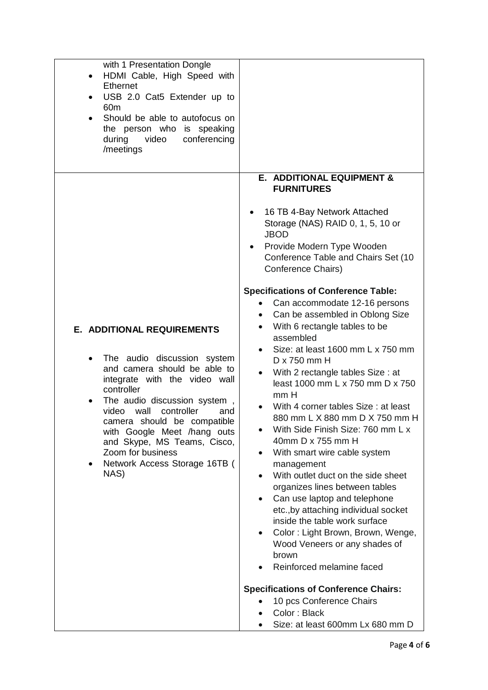| with 1 Presentation Dongle<br>HDMI Cable, High Speed with<br>$\bullet$<br><b>Ethernet</b><br>USB 2.0 Cat5 Extender up to<br>$\bullet$<br>60 <sub>m</sub><br>Should be able to autofocus on<br>the person who is speaking<br>during<br>video<br>conferencing<br>/meetings                                                                                                                           |                                                                                                                                                                                                                                                                                                                                                                                                                                                                                                                                                                                                                                                                                                                                                                                                                               |
|----------------------------------------------------------------------------------------------------------------------------------------------------------------------------------------------------------------------------------------------------------------------------------------------------------------------------------------------------------------------------------------------------|-------------------------------------------------------------------------------------------------------------------------------------------------------------------------------------------------------------------------------------------------------------------------------------------------------------------------------------------------------------------------------------------------------------------------------------------------------------------------------------------------------------------------------------------------------------------------------------------------------------------------------------------------------------------------------------------------------------------------------------------------------------------------------------------------------------------------------|
|                                                                                                                                                                                                                                                                                                                                                                                                    | E. ADDITIONAL EQUIPMENT &<br><b>FURNITURES</b><br>16 TB 4-Bay Network Attached<br>Storage (NAS) RAID 0, 1, 5, 10 or<br><b>JBOD</b><br>Provide Modern Type Wooden<br>Conference Table and Chairs Set (10<br>Conference Chairs)<br><b>Specifications of Conference Table:</b><br>Can accommodate 12-16 persons<br>٠                                                                                                                                                                                                                                                                                                                                                                                                                                                                                                             |
| <b>E. ADDITIONAL REQUIREMENTS</b><br>The audio discussion system<br>and camera should be able to<br>integrate with the video wall<br>controller<br>The audio discussion system,<br>٠<br>wall<br>controller<br>video<br>and<br>camera should be compatible<br>with Google Meet /hang outs<br>and Skype, MS Teams, Cisco,<br>Zoom for business<br>Network Access Storage 16TB (<br>$\bullet$<br>NAS) | Can be assembled in Oblong Size<br>٠<br>With 6 rectangle tables to be<br>$\bullet$<br>assembled<br>Size: at least 1600 mm L x 750 mm<br>$D \times 750$ mm H<br>With 2 rectangle tables Size : at<br>least 1000 mm L x 750 mm D x 750<br>mm H<br>With 4 corner tables Size: at least<br>880 mm L X 880 mm D X 750 mm H<br>With Side Finish Size: 760 mm L x<br>$\bullet$<br>40mm D x 755 mm H<br>With smart wire cable system<br>management<br>With outlet duct on the side sheet<br>$\bullet$<br>organizes lines between tables<br>Can use laptop and telephone<br>$\bullet$<br>etc., by attaching individual socket<br>inside the table work surface<br>Color: Light Brown, Brown, Wenge,<br>$\bullet$<br>Wood Veneers or any shades of<br>brown<br>Reinforced melamine faced<br><b>Specifications of Conference Chairs:</b> |
|                                                                                                                                                                                                                                                                                                                                                                                                    | 10 pcs Conference Chairs<br>Color: Black<br>Size: at least 600mm Lx 680 mm D                                                                                                                                                                                                                                                                                                                                                                                                                                                                                                                                                                                                                                                                                                                                                  |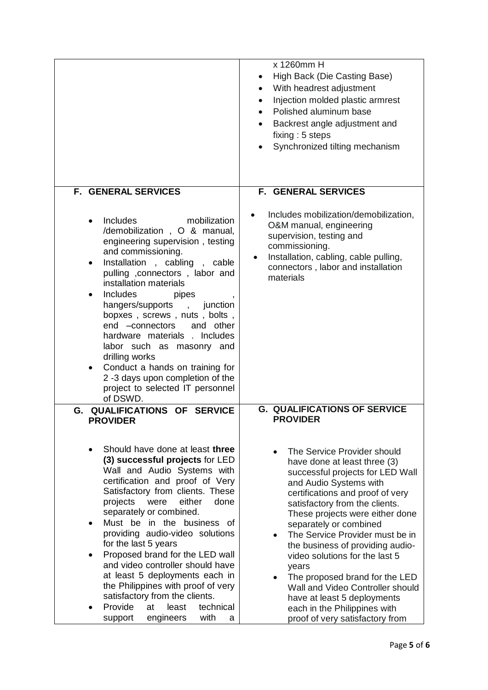|                                                                                                                                                                                                                                                                                                                                                                                                                                                                                                                                                                                                        | x 1260mm H<br>High Back (Die Casting Base)<br>With headrest adjustment<br>$\bullet$<br>Injection molded plastic armrest<br>$\bullet$<br>Polished aluminum base<br>$\bullet$<br>Backrest angle adjustment and<br>fixing: 5 steps<br>Synchronized tilting mechanism                                                                                                                                                                                                                                                   |
|--------------------------------------------------------------------------------------------------------------------------------------------------------------------------------------------------------------------------------------------------------------------------------------------------------------------------------------------------------------------------------------------------------------------------------------------------------------------------------------------------------------------------------------------------------------------------------------------------------|---------------------------------------------------------------------------------------------------------------------------------------------------------------------------------------------------------------------------------------------------------------------------------------------------------------------------------------------------------------------------------------------------------------------------------------------------------------------------------------------------------------------|
| <b>F. GENERAL SERVICES</b>                                                                                                                                                                                                                                                                                                                                                                                                                                                                                                                                                                             | <b>F. GENERAL SERVICES</b>                                                                                                                                                                                                                                                                                                                                                                                                                                                                                          |
| Includes<br>mobilization<br>$\bullet$<br>/demobilization, O & manual,<br>engineering supervision, testing<br>and commissioning.<br>Installation, cabling, cable<br>$\bullet$<br>pulling , connectors, labor and<br>installation materials<br><b>Includes</b><br>pipes<br>٠<br>hangers/supports<br>junction<br>$\mathbf{r}$<br>bopxes, screws, nuts, bolts,<br>end -connectors<br>and other<br>hardware materials . Includes<br>labor such as masonry and<br>drilling works<br>Conduct a hands on training for<br>٠<br>2 -3 days upon completion of the<br>project to selected IT personnel<br>of DSWD. | Includes mobilization/demobilization,<br>O&M manual, engineering<br>supervision, testing and<br>commissioning.<br>Installation, cabling, cable pulling,<br>$\bullet$<br>connectors, labor and installation<br>materials                                                                                                                                                                                                                                                                                             |
| G.<br>QUALIFICATIONS OF SERVICE<br><b>PROVIDER</b>                                                                                                                                                                                                                                                                                                                                                                                                                                                                                                                                                     | <b>G. QUALIFICATIONS OF SERVICE</b><br><b>PROVIDER</b>                                                                                                                                                                                                                                                                                                                                                                                                                                                              |
| Should have done at least three<br>(3) successful projects for LED<br>Wall and Audio Systems with<br>certification and proof of Very<br>Satisfactory from clients. These<br>either<br>projects<br>were<br>done<br>separately or combined.<br>Must be in the business of<br>providing audio-video solutions<br>for the last 5 years<br>Proposed brand for the LED wall<br>and video controller should have<br>at least 5 deployments each in<br>the Philippines with proof of very<br>satisfactory from the clients.<br>Provide<br>least<br>technical<br>at                                             | The Service Provider should<br>have done at least three (3)<br>successful projects for LED Wall<br>and Audio Systems with<br>certifications and proof of very<br>satisfactory from the clients.<br>These projects were either done<br>separately or combined<br>The Service Provider must be in<br>the business of providing audio-<br>video solutions for the last 5<br>years<br>The proposed brand for the LED<br>Wall and Video Controller should<br>have at least 5 deployments<br>each in the Philippines with |